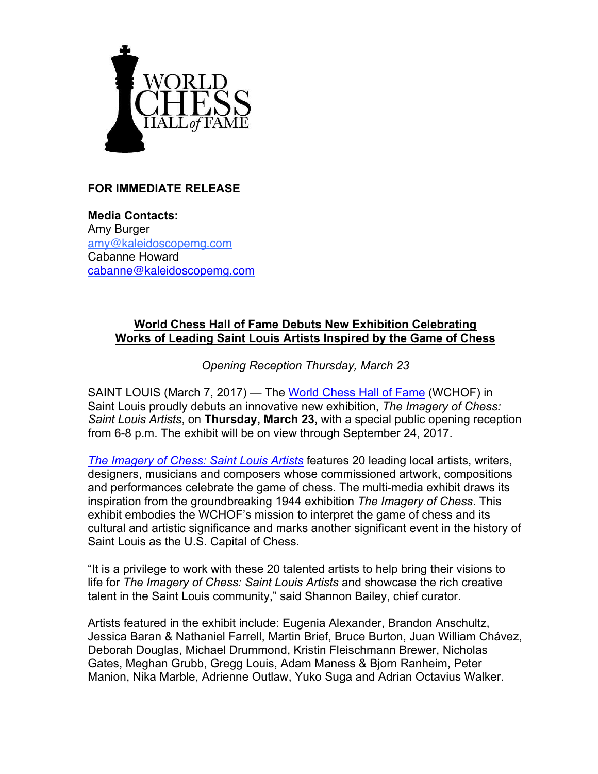

## **FOR IMMEDIATE RELEASE**

**Media Contacts:** Amy Burger amy@kaleidoscopemg.com Cabanne Howard cabanne@kaleidoscopemg.com

## **World Chess Hall of Fame Debuts New Exhibition Celebrating Works of Leading Saint Louis Artists Inspired by the Game of Chess**

*Opening Reception Thursday, March 23*

SAINT LOUIS (March 7, 2017) — The World Chess Hall of Fame (WCHOF) in Saint Louis proudly debuts an innovative new exhibition, *The Imagery of Chess: Saint Louis Artists*, on **Thursday, March 23,** with a special public opening reception from 6-8 p.m. The exhibit will be on view through September 24, 2017.

*The Imagery of Chess: Saint Louis Artists* features 20 leading local artists, writers, designers, musicians and composers whose commissioned artwork, compositions and performances celebrate the game of chess. The multi-media exhibit draws its inspiration from the groundbreaking 1944 exhibition *The Imagery of Chess*. This exhibit embodies the WCHOF's mission to interpret the game of chess and its cultural and artistic significance and marks another significant event in the history of Saint Louis as the U.S. Capital of Chess.

"It is a privilege to work with these 20 talented artists to help bring their visions to life for *The Imagery of Chess: Saint Louis Artists* and showcase the rich creative talent in the Saint Louis community," said Shannon Bailey, chief curator.

Artists featured in the exhibit include: Eugenia Alexander, Brandon Anschultz, Jessica Baran & Nathaniel Farrell, Martin Brief, Bruce Burton, Juan William Chávez, Deborah Douglas, Michael Drummond, Kristin Fleischmann Brewer, Nicholas Gates, Meghan Grubb, Gregg Louis, Adam Maness & Bjorn Ranheim, Peter Manion, Nika Marble, Adrienne Outlaw, Yuko Suga and Adrian Octavius Walker.